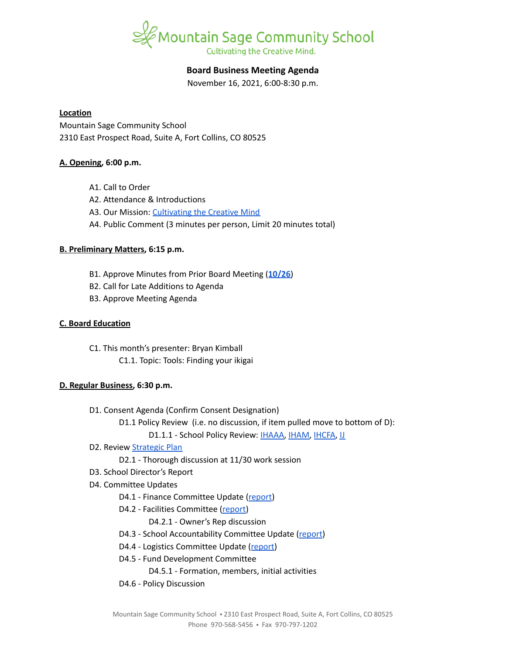

# **Board Business Meeting Agenda**

November 16, 2021, 6:00-8:30 p.m.

#### **Location**

Mountain Sage Community School 2310 East Prospect Road, Suite A, Fort Collins, CO 80525

### **A. Opening, 6:00 p.m.**

- A1. Call to Order
- A2. Attendance & Introductions
- A3. Our Mission: [Cultivating](https://www.mountainsage.org/about-us/mission-and-vision/) the Creative Mind
- A4. Public Comment (3 minutes per person, Limit 20 minutes total)

## **B. Preliminary Matters, 6:15 p.m.**

- B1. Approve Minutes from Prior Board Meeting (**[10/26](https://docs.google.com/document/d/1kBYJDrg9_nbgxZlTsHVKL-gipqYPTJOtLOm904E2sy8)**)
- B2. Call for Late Additions to Agenda
- B3. Approve Meeting Agenda

### **C. Board Education**

C1. This month's presenter: Bryan Kimball C1.1. Topic: Tools: Finding your ikigai

### **D. Regular Business, 6:30 p.m.**

- D1. Consent Agenda (Confirm Consent Designation)
	- D1.1 Policy Review (i.e. no discussion, if item pulled move to bottom of D):
		- D1.1.1 School Policy Review: [IHAAA,](https://drive.google.com/open?id=1xlJm6ixLUDJqZDQGiVACXLUDJtzvalcWKLaQw4-GgUw) [IHAM,](https://drive.google.com/open?id=11zeuCwFUM-QllrMIJ39ew-T-6ZkYHxv9TYQubr7V-qA) [IHCFA](https://drive.google.com/open?id=10NbkEDB9Nz3qTDc6M582pLionc-6at_1FG8EwkKddIw), [IJ](https://drive.google.com/open?id=16Apta1Nk1rBYb8051Ha-6trPXjppnsisQfkh4iU4n5I)
- D2. Review [Strategic](https://docs.google.com/spreadsheets/d/1RR7z4DQ0Oq8Z29iw-TRpzfxcoDyemB4IFJY4Hpq8Y_k/edit?usp=sharing) Plan
	- D2.1 Thorough discussion at 11/30 work session
- D3. School Director's Report
- D4. Committee Updates
	- D4.1 Finance Committee Update ([report](https://docs.google.com/document/d/1CmNZCm1dbdiVlhsX45CzoGeDpoJ4xWZfrshd-mOvXJ0))
	- D4.2 Facilities Committee [\(report\)](https://docs.google.com/document/d/1f2Cofkb8gsobMqIX_fTCNQZR1-w2eitMw0D9ZDCJRF4)
		- D4.2.1 Owner's Rep discussion
	- D4.3 School Accountability Committee Update [\(report](https://docs.google.com/document/d/19ddomX1XmiTBb0ZOdYXh1ZbFL5me54zhEpFfEey5Bl4))
	- D4.4 Logistics Committee Update ([report](https://docs.google.com/document/d/1wVsCb1F3Zl2_-htABX1RNzfc32CNWl6FkvPBXOA4hp4))
	- D4.5 Fund Development Committee
		- D4.5.1 Formation, members, initial activities
	- D4.6 Policy Discussion